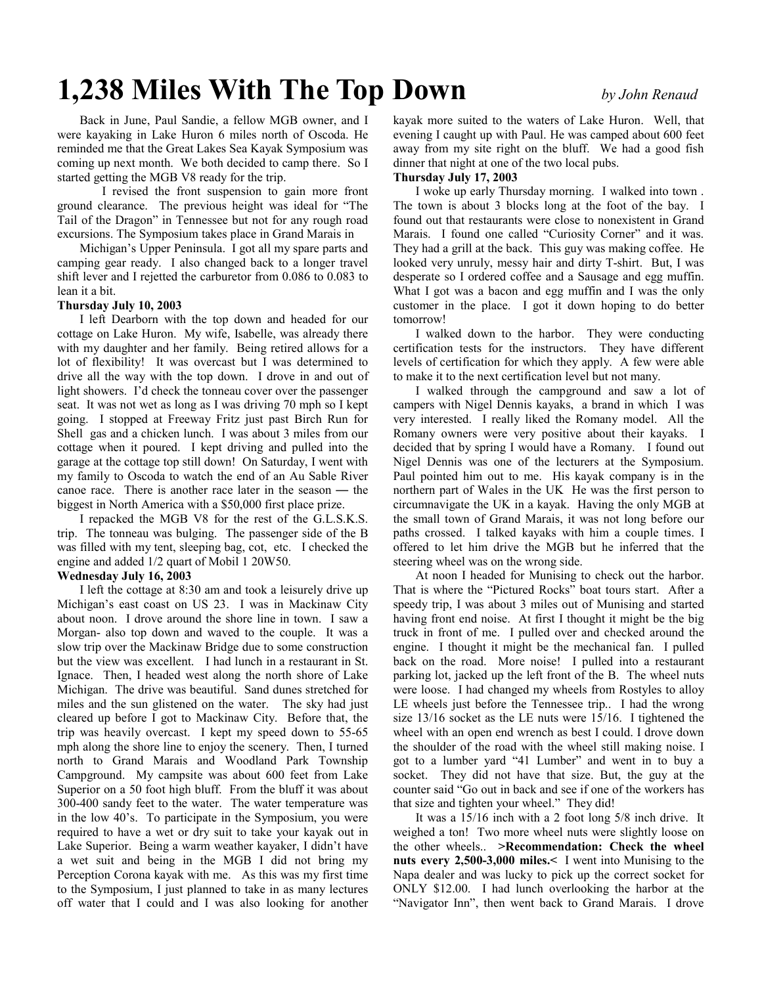# **1,238 Miles With The Top Down** *by John Renaud*

Back in June, Paul Sandie, a fellow MGB owner, and I were kayaking in Lake Huron 6 miles north of Oscoda. He reminded me that the Great Lakes Sea Kayak Symposium was coming up next month. We both decided to camp there. So I started getting the MGB V8 ready for the trip.

 I revised the front suspension to gain more front ground clearance. The previous height was ideal for "The Tail of the Dragon" in Tennessee but not for any rough road excursions. The Symposium takes place in Grand Marais in

Michigan's Upper Peninsula. I got all my spare parts and camping gear ready. I also changed back to a longer travel shift lever and I rejetted the carburetor from 0.086 to 0.083 to lean it a bit.

## **Thursday July 10, 2003**

I left Dearborn with the top down and headed for our cottage on Lake Huron. My wife, Isabelle, was already there with my daughter and her family. Being retired allows for a lot of flexibility! It was overcast but I was determined to drive all the way with the top down. I drove in and out of light showers. I'd check the tonneau cover over the passenger seat. It was not wet as long as I was driving 70 mph so I kept going. I stopped at Freeway Fritz just past Birch Run for Shell gas and a chicken lunch. I was about 3 miles from our cottage when it poured. I kept driving and pulled into the garage at the cottage top still down! On Saturday, I went with my family to Oscoda to watch the end of an Au Sable River canoe race. There is another race later in the season — the biggest in North America with a \$50,000 first place prize.

I repacked the MGB V8 for the rest of the G.L.S.K.S. trip. The tonneau was bulging. The passenger side of the B was filled with my tent, sleeping bag, cot, etc. I checked the engine and added 1/2 quart of Mobil 1 20W50.

## **Wednesday July 16, 2003**

I left the cottage at 8:30 am and took a leisurely drive up Michigan's east coast on US 23. I was in Mackinaw City about noon. I drove around the shore line in town. I saw a Morgan- also top down and waved to the couple. It was a slow trip over the Mackinaw Bridge due to some construction but the view was excellent. I had lunch in a restaurant in St. Ignace. Then, I headed west along the north shore of Lake Michigan. The drive was beautiful. Sand dunes stretched for miles and the sun glistened on the water. The sky had just cleared up before I got to Mackinaw City. Before that, the trip was heavily overcast. I kept my speed down to 55-65 mph along the shore line to enjoy the scenery. Then, I turned north to Grand Marais and Woodland Park Township Campground. My campsite was about 600 feet from Lake Superior on a 50 foot high bluff. From the bluff it was about 300-400 sandy feet to the water. The water temperature was in the low 40's. To participate in the Symposium, you were required to have a wet or dry suit to take your kayak out in Lake Superior. Being a warm weather kayaker, I didn't have a wet suit and being in the MGB I did not bring my Perception Corona kayak with me. As this was my first time to the Symposium, I just planned to take in as many lectures off water that I could and I was also looking for another

kayak more suited to the waters of Lake Huron. Well, that evening I caught up with Paul. He was camped about 600 feet away from my site right on the bluff. We had a good fish dinner that night at one of the two local pubs.

## **Thursday July 17, 2003**

I woke up early Thursday morning. I walked into town . The town is about 3 blocks long at the foot of the bay. I found out that restaurants were close to nonexistent in Grand Marais. I found one called "Curiosity Corner" and it was. They had a grill at the back. This guy was making coffee. He looked very unruly, messy hair and dirty T-shirt. But, I was desperate so I ordered coffee and a Sausage and egg muffin. What I got was a bacon and egg muffin and I was the only customer in the place. I got it down hoping to do better tomorrow!

I walked down to the harbor. They were conducting certification tests for the instructors. They have different levels of certification for which they apply. A few were able to make it to the next certification level but not many.

I walked through the campground and saw a lot of campers with Nigel Dennis kayaks, a brand in which I was very interested. I really liked the Romany model. All the Romany owners were very positive about their kayaks. I decided that by spring I would have a Romany. I found out Nigel Dennis was one of the lecturers at the Symposium. Paul pointed him out to me. His kayak company is in the northern part of Wales in the UK He was the first person to circumnavigate the UK in a kayak. Having the only MGB at the small town of Grand Marais, it was not long before our paths crossed. I talked kayaks with him a couple times. I offered to let him drive the MGB but he inferred that the steering wheel was on the wrong side.

At noon I headed for Munising to check out the harbor. That is where the "Pictured Rocks" boat tours start. After a speedy trip, I was about 3 miles out of Munising and started having front end noise. At first I thought it might be the big truck in front of me. I pulled over and checked around the engine. I thought it might be the mechanical fan. I pulled back on the road. More noise! I pulled into a restaurant parking lot, jacked up the left front of the B. The wheel nuts were loose. I had changed my wheels from Rostyles to alloy LE wheels just before the Tennessee trip.. I had the wrong size 13/16 socket as the LE nuts were 15/16. I tightened the wheel with an open end wrench as best I could. I drove down the shoulder of the road with the wheel still making noise. I got to a lumber yard "41 Lumber" and went in to buy a socket. They did not have that size. But, the guy at the counter said "Go out in back and see if one of the workers has that size and tighten your wheel." They did!

It was a 15/16 inch with a 2 foot long 5/8 inch drive. It weighed a ton! Two more wheel nuts were slightly loose on the other wheels.. **>Recommendation: Check the wheel nuts every 2,500-3,000 miles.<** I went into Munising to the Napa dealer and was lucky to pick up the correct socket for ONLY \$12.00. I had lunch overlooking the harbor at the "Navigator Inn", then went back to Grand Marais. I drove